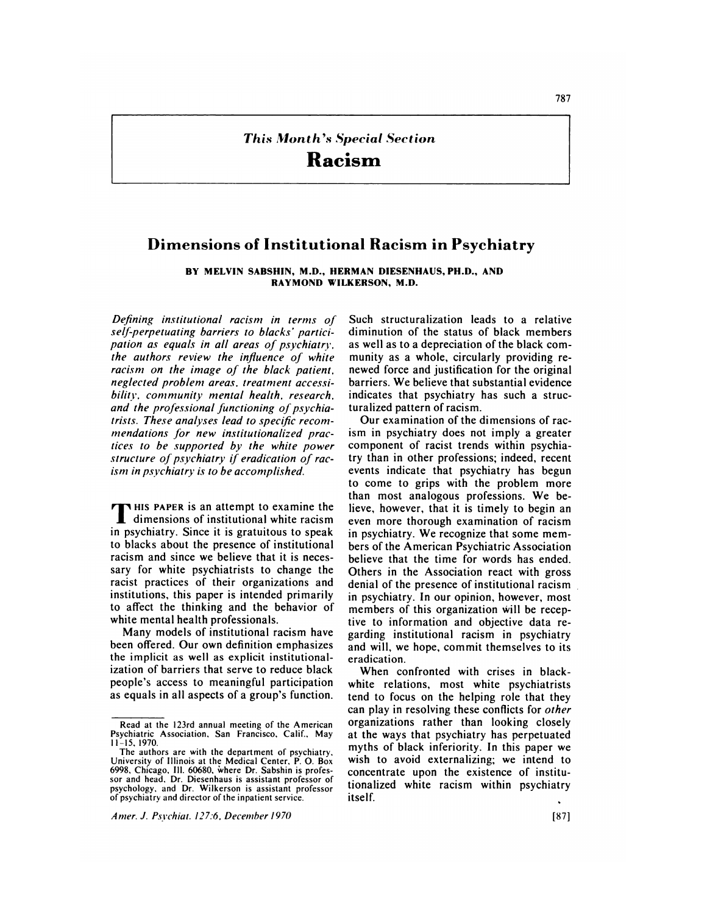# *This Month's Special Section .'* **. nacism**

# **Dimensions of Institutional Racism in Psychiatry**

**BY MELVIN SABSHIN, M.D., HERMAN DIESENHAUS, PH.D., AND RAYMOND WILKERSON, M.D.**

Defining institutional racism in terms of self-perpetuating barriers to blacks' participation as equals in all areas of psychiatry. the authors review the influence of white racism on the image of the black patient. neglected problem areas, treatment accessibility, community mental health, research, and the professional functioning of psychiatrists. These analyses lead to specific recom mendations for new institutionalized practices to be supported by the white power structure of psychiatry if eradication of racism in psychiatry is to be accomplished.

**T** HIS **PAPER** is an attempt to examine the dimensions of institutional white racism in psychiatry. Since it is gratuitous to speak to blacks about the presence of institutional racism and since we believe that it is neces sary for white psychiatrists to change the racist practices of their organizations and institutions, this paper is intended primarily to affect the thinking and the behavior of white mental health professionals.

Many models of institutional racism have been offered. Our own definition emphasizes the implicit as well as explicit institutionalization of barriers that serve to reduce black people's access to meaningful participation as equals in all aspects of a group's function.

Amer. J. Psychiat. 127:6, December 1970 *Amer. J. Psychiat.* 127:6, December 1970

Such structuralization leads to a relative diminution of the status of black members as well as to a depreciation of the black com munity as a whole, circularly providing re newed force and justification for the original barriers. We believe that substantial evidence indicates that psychiatry has such a structuralized pattern of racism.

Our examination of the dimensions of racism in psychiatry does not imply a greater component of racist trends within psychiatry than in other professions; indeed, recent events indicate that psychiatry has begun to come to grips with the problem more than most analogous professions. We believe, however, that it is timely to begin an even more thorough examination of racism in psychiatry. We recognize that some mem bers of the American Psychiatric Association believe that the time for words has ended. Others in the Association react with gross denial of the presence of institutional racism in psychiatry. In our opinion, however, most members of this organization will be receptive to information and objective data re garding institutional racism in psychiatry and will, we hope, commit themselves to its eradication.

When confronted with crises in blackwhite relations, most white psychiatrists tend to focus on the helping role that they can play in resolving these conflicts for other organizations rather than looking closely at the ways that psychiatry has perpetuated myths of black inferiority. In this paper we wish to avoid externalizing; we intend to concentrate upon the existence of institutionalized white racism within psychiatry itself.

Read at the 123rd annual meeting of the American Psychiatric Association, San Francisco, Calif., May **11-15, 1970.**

The authors are with the department of psychiatry. University of Illinois at the Medical Center, P. 0. Box 6998, Chicago, III. 60680, where Dr. Sabshin is profes sor and head. Dr. Diesenhaus is assistant professor of psychology, and Dr. Wilkerson is assistant professor of psychiatry and director of the inpatient service.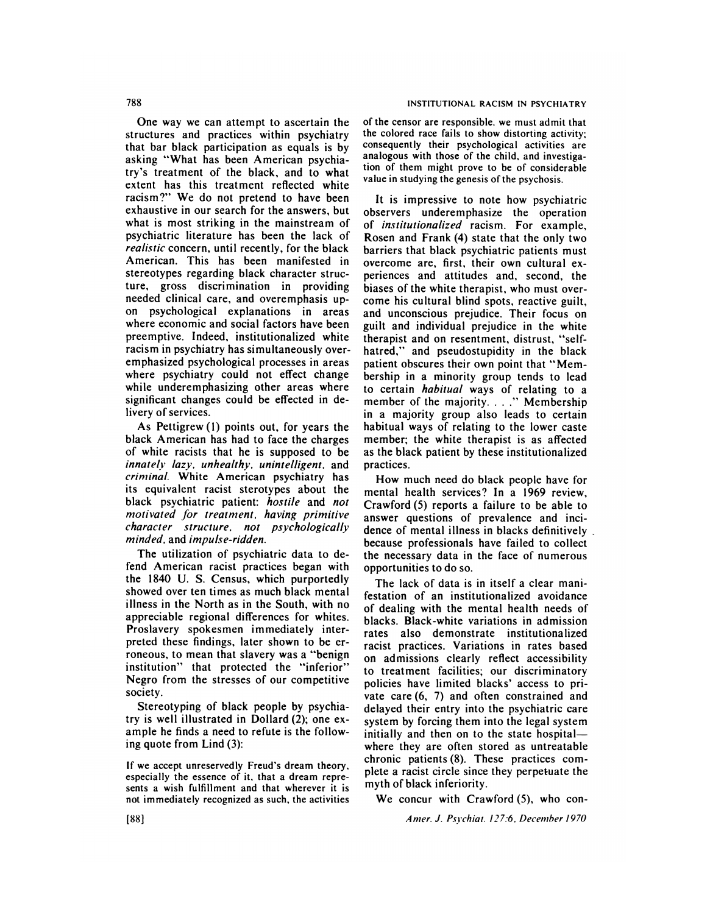One way we can attempt to ascertain the structures and practices within psychiatry that bar black participation as equals is by asking "What has been American psychiatry's treatment of the black, and to what extent has this treatment reflected white racism?" We do not pretend to have been exhaustive in our search for the answers, but what is most striking in the mainstream of psychiatric literature has been the lack of realistic concern, until recently, for the black American. This has been manifested in stereotypes regarding black character structure, gross discrimination in providing needed clinical care, and overemphasis up on psychological explanations in areas where economic and social factors have been preemptive. Indeed, institutionalized white racism in psychiatry has simultaneously over emphasized psychological processes in areas where psychiatry could not effect change while underemphasizing other areas where significant changes could be effected in delivery of services.

As Pettigrew (1) points out, for years the black American has had to face the charges of white racists that he is supposed to be innately lazy, unhealthy, unintelligent, and criminal. White American psychiatry has its equivalent racist sterotypes about the black psychiatric patient: hostile and *not* motivated for treatment, having primitive character structure, not psychologically minded, and impulse-ridden.

The utilization of psychiatric data to defend American racist practices began with the 1840 U. S. Census, which purportedly showed over ten times as much black mental illness in the North as in the South, with no appreciable regional differences for whites. Proslavery spokesmen immediately interpreted these findings, later shown to be erroneous, to mean that slavery was a "benign institution" that protected the "inferior" Negro from the stresses of our competitive society.

Stereotyping of black people by psychiatry is well illustrated in Dollard (2); one ex ample he finds a need to refute is the following quote from Lind (3):

If we accept unreservedly Freud's dream theory, especially the essence of it, that a dream represents a wish fulfillment and that wherever it is not immediately recognized as such, the activities of the censor are responsible. we must admit that the colored race fails to show distorting activity; consequently their psychological activities are analogous with those of the child, and investigation of them might prove to be of considerable value in studying the genesis of the psychosis.

It is impressive to note how psychiatric observers underemphasize the operation of institutionalized racism. For example, Rosen and Frank (4) state that the only two barriers that black psychiatric patients must overcome are, first, their own cultural ex periences and attitudes and, second, the biases of the white therapist, who must over come his cultural blind spots, reactive guilt, and unconscious prejudice. Their focus on guilt and individual prejudice in the white therapist and on resentment, distrust, "selfhatred," and pseudostupidity in the black patient obscures their own point that "Membership in a minority group tends to lead to certain habitual ways of relating to a member of the majority. . . ." Membership in a majority group also leads to certain habitual ways of relating to the lower caste member; the white therapist is as affected as the black patient by these institutionalized practices.

How much need do black people have for mental health services? In a 1969 review, Crawford (5) reports a failure to be able to answer questions of prevalence and incidence of mental illness in blacks definitively because professionals have failed to collect the necessary data in the face of numerous opportunities to do so.

The lack of data is in itself a clear manifestation of an institutionalized avoidance of dealing with the mental health needs of blacks. Black-white variations in admission rates also demonstrate institutionalized racist practices. Variations in rates based on admissions clearly reflect accessibility to treatment facilities; our discriminatory policies have limited blacks' access to private care (6, 7) and often constrained and delayed their entry into the psychiatric care system by forcing them into the legal system initially and then on to the state hospitalwhere they are often stored as untreatable chronic patients (8). These practices com plete a racist circle since they perpetuate the myth of black inferiority.

We concur with Crawford (5), who con-

[88] Amer. *J.* Psychic:. /27.6, December 1970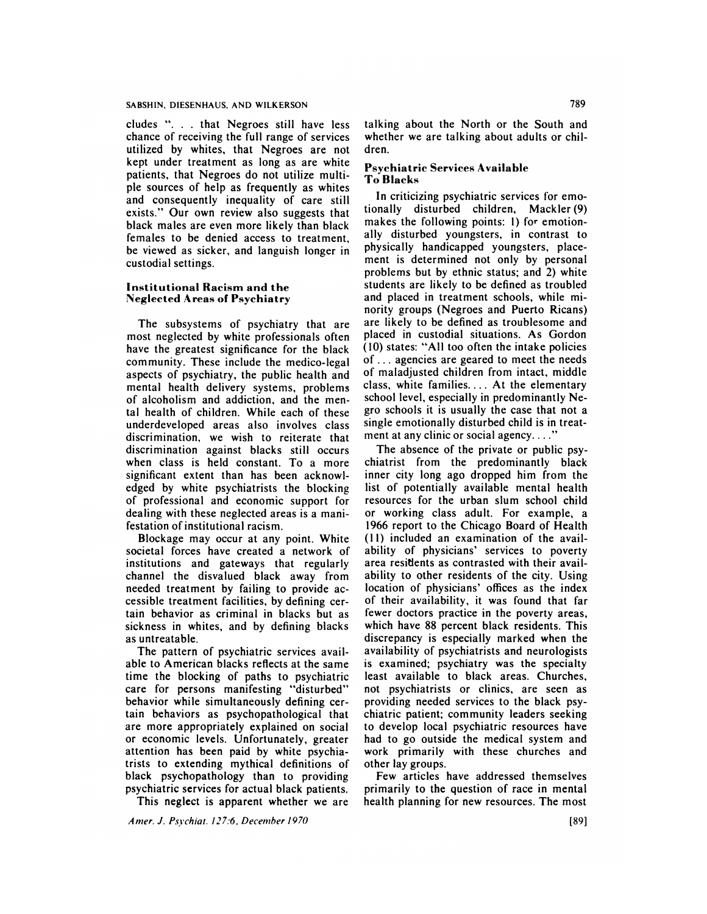# SABSHIN, DIESENHAUS, AND WILKERSON 789

cludes ". . *.* that Negroes still have less chance of receiving the full range of services utilized by whites, that Negroes are not kept under treatment as long as are white patients, that Negroes do not utilize multiple sources of help as frequently as whites and consequently inequality of care still exists." Our own review also suggests that black males are even more likely than black females to be denied access to treatment, be viewed as sicker, and languish longer in custodial settings.

#### Institutional Racism and the Neglected Areas **of** Psychiatry

The subsystems of psychiatry that are most neglected by white professionals often have the greatest significance for the black community. These include the medico-legal aspects of psychiatry, the public health and mental health delivery systems, problems of alcoholism and addiction, and the mental health of children. While each of these underdeveloped areas also involves class discrimination, we wish to reiterate that discrimination against blacks still occurs when class is held constant. To a more significant extent than has been acknowledged by white psychiatrists the blocking of professional and economic support for dealing with these neglected areas is a manifestation of institutional racism.

Blockage may occur at any point. White societal forces have created a network of institutions and gateways that regularly channel the disvalued black away from needed treatment by failing to provide ac cessible treatment facilities, by defining certain behavior as criminal in blacks but as sickness in whites, and by defining blacks as untreatable.

The pattern of psychiatric services available to American blacks reflects at the same time the blocking of paths to psychiatric care for persons manifesting "disturbed" behavior while simultaneously defining certain behaviors as psychopathological that are more appropriately explained on social or economic levels. Unfortunately, greater attention has been paid by white psychiatrists to extending mythical definitions of black psychopathology than to providing psychiatric services for actual black patients. This neglect is apparent whether we are talking about the North or the South and whether we are talking about adults or children.

# **Psychiatric Services Available To Blacks**

In criticizing psychiatric services for emotionally disturbed children, Mack ler (9) makes the following points: I) for emotionally disturbed youngsters, in contrast to physically handicapped youngsters, placement is determined not only by personal problems but by ethnic status; and 2) white students are likely to be defined as troubled and placed in treatment schools, while minority groups (Negroes and Puerto Ricans) are likely to be defined as troublesome and placed in custodial situations. As Gordon (10) states: "All too often the intake policies of... agencies are geared to meet the needs of maladjusted children from intact, middle class, white families.... At the elementary school level, especially in predominantly Negro schools it is usually the case that not a single emotionally disturbed child is in treatment at any clinic or social agency....'

The absence of the private or public psychiatrist from the predominantly black inner city long ago dropped him from the list of potentially available mental health resources for the urban slum school child or working class adult. For example, a 1966 report to the Chicago Board of Health (11) included an examination of the availability of physicians' services to poverty area resitlents as contrasted with their availability to other residents of the city. Using location of physicians' offices as the index of their availability, it was found that far fewer doctors practice in the poverty areas, which have 88 percent black residents. This discrepancy is especially marked when the availability of psychiatrists and neurologists is examined; psychiatry was the specialty least available to black areas. Churches, not psychiatrists or clinics, are seen as providing needed services to the black psychiatric patient; community leaders seeking to develop local psychiatric resources have had to go outside the medical system and work primarily with these churches and other lay groups.

Few articles have addressed themselves primarily to the question of race in mental health planning for new resources. The most

Amer. J. Psychiat. 127:6, December 1970 *Amer. J. Psychiat.* 199]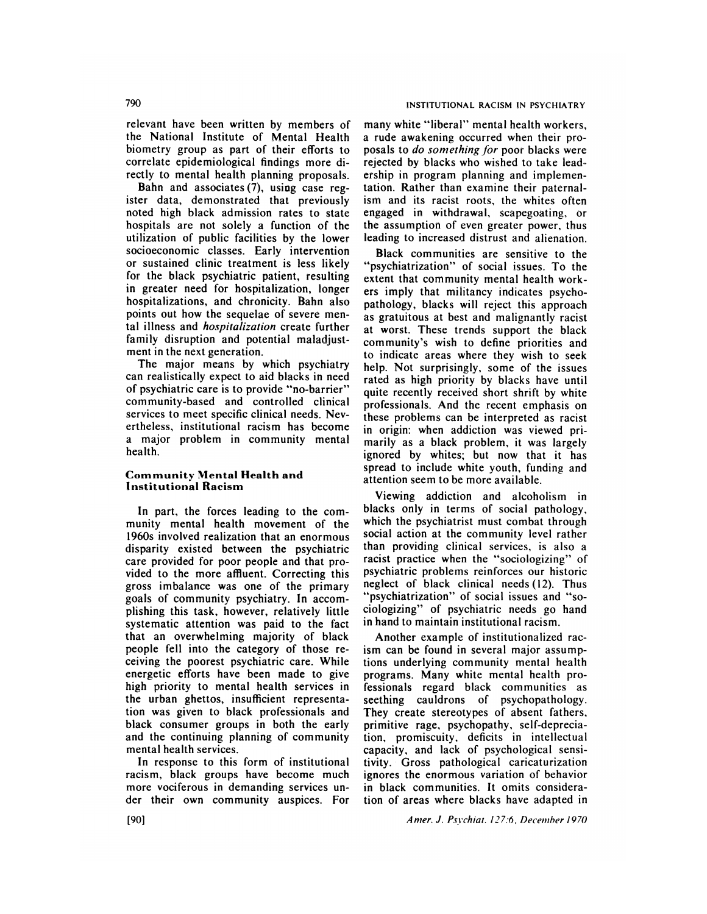relevant have been written by members of the National Institute of Mental Health biometry group as part of their efforts to correlate epidemiological findings more directly to mental health planning proposals.

Bahn and associates (7), using case register data, demonstrated that previously noted high black admission rates to state hospitals are not solely a function of the utilization of public facilities by the lower socioeconomic classes. Early intervention or sustained clinic treatment is less likely for the black psychiatric patient, resulting in greater need for hospitalization, longer hospitalizations, and chronicity. Bahn also points out how the sequelae of severe mental illness and hospitalization create further family disruption and potential maladjustment in the next generation.

The major means by which psychiatry can realistically expect to aid blacks in need of psychiatric care is to provide "no-barrier" com munity-based and controlled clinical services to meet specific clinical needs. Nevertheless, institutional racism has become a major problem in community mental health.

# **Community Mental Health and Institutional Racism**

In part, the forces leading to the com munity mental health movement of the 1960s involved realization that an enormous disparity existed between the psychiatric care provided for poor people and that provided to the more affluent. Correcting this gross imbalance was one of the primary goals of community psychiatry. In accom plishing this task, however, relatively little systematic attention was paid to the fact that an overwhelming majority of black people fell into the category of those re ceiving the poorest psychiatric care. While energetic efforts have been made to give high priority to mental health services in the urban ghettos, insufficient representation was given to black professionals and black consumer groups in both the early and the continuing planning of community mental health services.

In response to this form of institutional racism, black groups have become much more vociferous in demanding services un der their own community auspices. For many white "liberal" mental health workers, a rude awakening occurred when their proposals to do something for poor blacks were rejected by blacks who wished to take leadership in program planning and implementation. Rather than examine their paternalism and its racist roots, the whites often engaged in withdrawal, scapegoating, or the assumption of even greater power, thus leading to increased distrust and alienation.

Black communities are sensitive to the "psychiatrization" of social issues. To the extent that community mental health work ers imply that militancy indicates psychopathology, blacks will reject this approach as gratuitous at best and malignantly racist at worst. These trends support the black community's wish to define priorities and to indicate areas where they wish to seek help. Not surprisingly, some of the issues rated as high priority by blacks have until quite recently received short shrift by white professionals. And the recent emphasis on these problems can be interpreted as racist in origin: when addiction was viewed primarily as a black problem, it was largely ignored by whites; but now that it has spread to include white youth, funding and attention seem to be more available.

Viewing addiction and alcoholism in blacks only in terms of social pathology, which the psychiatrist must combat through social action at the community level rather than providing clinical services, is also a racist practice when the "sociologizing" of psychiatric problems reinforces our historic neglect of black clinical needs (12). Thus "psychiatrization" of social issues and "sociologizing" of psychiatric needs go hand in hand to maintain institutional racism.

Another example of institutionalized racism can be found in several major assumptions underlying community mental health programs. Many white mental health professionals regard black communities as seething cauldrons of psychopathology. They create stereotypes of absent fathers, primitive rage, psychopathy, self-depreciation, promiscuity, deficits in intellectual capacity, and lack of psychological sensitivity. Gross pathological caricaturization ignores the enormous variation of behavior in black communities. It omits consideration of areas where blacks have adapted in

**[90]** Amer. J. Psychia:. /27:6, December /970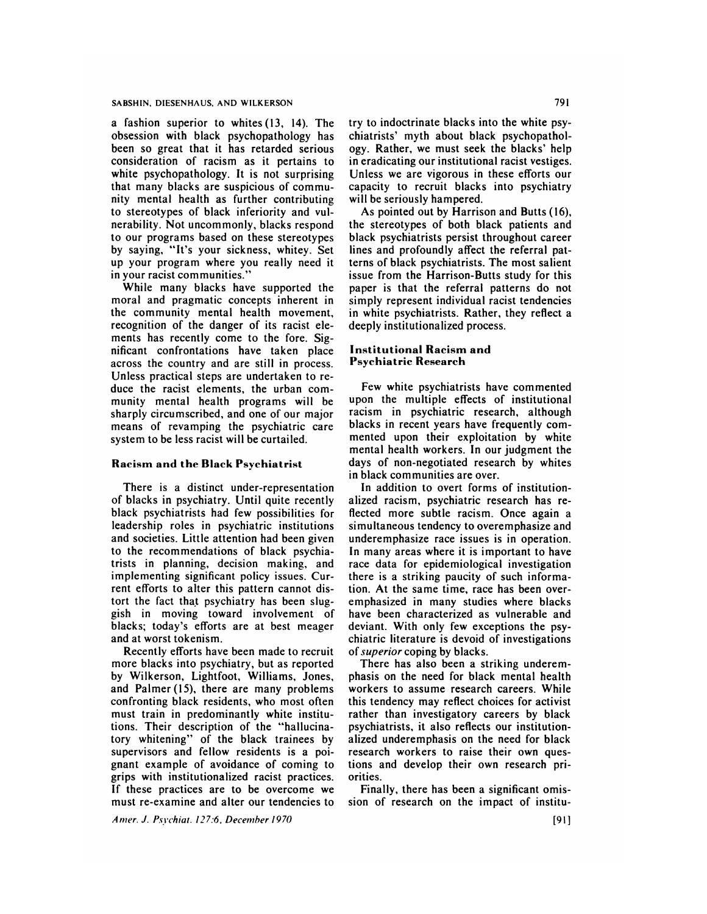a fashion superior to whites (13, 14). The obsession with black psychopathology has been so great that it has retarded serious consideration of racism as it pertains to white psychopathology. It is not surprising that many blacks are suspicious of commu nity mental health as further contributing to stereotypes of black inferiority and vulnerability. Not uncommonly, blacks respond to our programs based on these stereotypes by saying, "It's your sickness, whitey. Set up your program where you really need it in your racist communities."

While many blacks have supported the moral and pragmatic concepts inherent in the community mental health movement, recognition of the danger of its racist elements has recently come to the fore. Significant confrontations have taken place across the country and are still in process. Unless practical steps are undertaken to re duce the racist elements, the urban com munity mental health programs will be sharply circumscribed, and one of our major means of revamping the psychiatric care system to be less racist will be curtailed.

# **Racism and the Black Psychiatrist**

There is a distinct under-representation of blacks in psychiatry. Until quite recently black psychiatrists had few possibilities for leadership roles in psychiatric institutions and societies. Little attention had been given to the recommendations of black psychiatrists in planning, decision making, and implementing significant policy issues. Current efforts to alter this pattern cannot distort the fact that psychiatry has been sluggish in moving toward involvement of blacks; today's efforts are at best meager and atworst tokenism.

Recently efforts have been made to recruit more blacks into psychiatry, but as reported by Wilkerson, Lightfoot, Williams, Jones, and Palmer (15), there are many problems confronting black residents, who most often must train in predominantly white institutions. Their description of the "hallucinatory whitening" of the black trainees by supervisors and fellow residents is a poignant example of avoidance of coming to grips with institutionalized racist practices. If these practices are to be overcome we must re-examine and alter our tendencies to try to indoctrinate blacks into the white psychiatrists' myth about black psychopathology. Rather, we must seek the blacks' help in eradicating our institutional racist vestiges. Unless we are vigorous in these efforts our capacity to recruit blacks into psychiatry will be seriously hampered.

As pointed out by Harrison and Butts (16), the stereotypes of both black patients and black psychiatrists persist throughout career lines and profoundly affect the referral patterns of black psychiatrists. The most salient issue from the Harrison-Butts study for this paper is that the referral patterns do not simply represent individual racist tendencies in white psychiatrists. Rather, they reflect a deeply institutionalized process.

#### **Institutional Racism and Psychiatric Research**

Few white psychiatrists have commented upon the multiple effects of institutional racism in psychiatric research, although blacks in recent years have frequently com mented upon their exploitation by white mental health workers. In our judgment the days of non-negotiated research by whites in black communities are over.

In addition to overt forms of institutionalized racism, psychiatric research has reflected more subtle racism. Once again a simultaneous tendency to overemphasize and underemphasize race issues is in operation. In many areas where it is important to have race data for epidemiological investigation there is a striking paucity of such information. At the same time, race has been over emphasized in many studies where blacks have been characterized as vulnerable and deviant. With only few exceptions the psychiatric literature is devoid of investigations of superior coping by blacks.

There has also been a striking underemphasis on the need for black mental health workers to assume research careers. While this tendency may reflect choices for activist rather than investigatory careers by black psychiatrists, it also reflects our institutionalized underemphasis on the need for black research workers to raise their own questions and develop their own research priorities.

Finally, there has been a significant omission of research on the impact of institu-

Amer. J. Psychiat. 127:6, December 1970 *Amer. J. Psychiat.* 1970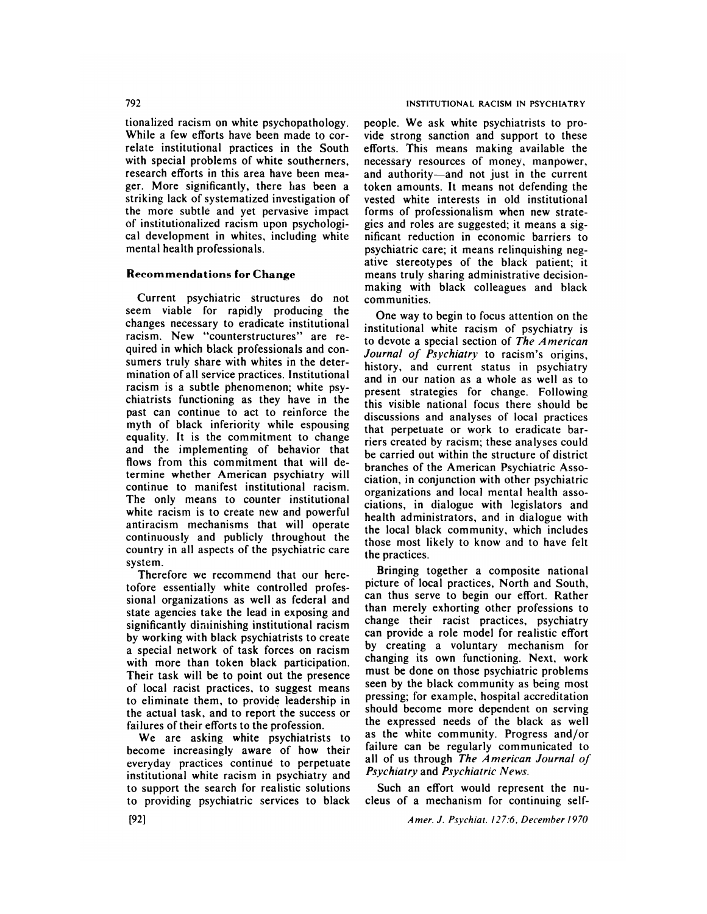tionalized racism on white psychopathology. While a few efforts have been made to correlate institutional practices in the South with special problems of white southerners. research efforts in this area have been mea ger. More significantly, there has been a striking lack of systematized investigation of the more subtle and yet pervasive impact of institutionalized racism upon psychological development in whites, including white mental health professionals.

# **Recommendations for Change**

Current psychiatric structures do not seem viable for rapidly producing the changes necessary to eradicate institutional racism. New "counterstructures" are re quired in which black professionals and con sumers truly share with whites in the determination of all service practices. Institutional racism is a subtle phenomenon; white psychiatrists functioning as they have in the past can continue to act to reinforce the myth of black inferiority while espousing equality. It is the commitment to change and the implementing of behavior that flows from this commitment that will determine whether American psychiatry will continue to manifest institutional racism. The only means to counter institutional white racism is to create new and powerful antiracism mechanisms that will operate continuously and publicly throughout the country in all aspects of the psychiatric care system.

Therefore we recommend that our heretofore essentially white controlled professional organizations as well as federal and state agencies take the lead in exposing and significantly diminishing institutional racism by working with black psychiatrists to create a special network of task forces on racism with more than token black participation. Their task will be to point out the presence of local racist practices, to suggest means to eliminate them, to provide leadership in the actual task, and to report the success or failures of their efforts to the profession.

We are asking white psychiatrists to become increasingly aware of how their everyday practices continue to perpetuate institutional white racism in psychiatry and to support the search for realistic solutions to providing psychiatric services to black

people. We ask white psychiatrists to provide strong sanction and support to these efforts. This means making available the necessary resources of money, manpower, and authority-and not just in the current token amounts. It means not defending the vested white interests in old institutional forms of professionalism when new strategies and roles are suggested; it means a significant reduction in economic barriers to psychiatric care; it means relinquishing negative stereotypes of the black patient; it means truly sharing administrative decisionmaking with black colleagues and black communities.

One way to begin to focus attention on the institutional white racism of psychiatry is to devote a special section of *The* A merican Journal of Psychiatry to racism's origins, history, and current status in psychiatry and in our nation as a whole as well as to present strategies for change. Following this visible national focus there should be discussions and analyses of local practices that perpetuate or work to eradicate barriers created by racism; these analyses could be carried out within the structure of district branches of the American Psychiatric Association, in conjunction with other psychiatric organizations and local mental health asso ciations, in dialogue with legislators and health administrators, and in dialogue with the local black community, which includes those most likely to know and to have felt the practices.

Bringing together a composite national picture of local practices, North and South, can thus serve to begin our effort. Rather than merely exhorting other professions to change their racist practices, psychiatry can provide a role model for realistic effort by creating a voluntary mechanism for changing its own functioning. Next, work must be done on those psychiatric problems seen by the black community as being most pressing; for example, hospital accreditation should become more dependent on serving the expressed needs of the black as well as the white community. Progress and/or failure can be regularly communicated to all of us through The American Journal of Psychiatry and Psychiatric News.

Such an effort would represent the nu cleus of a mechanism for continuing self-

[92] Amer. J. Psychic:. /27.6, December /970